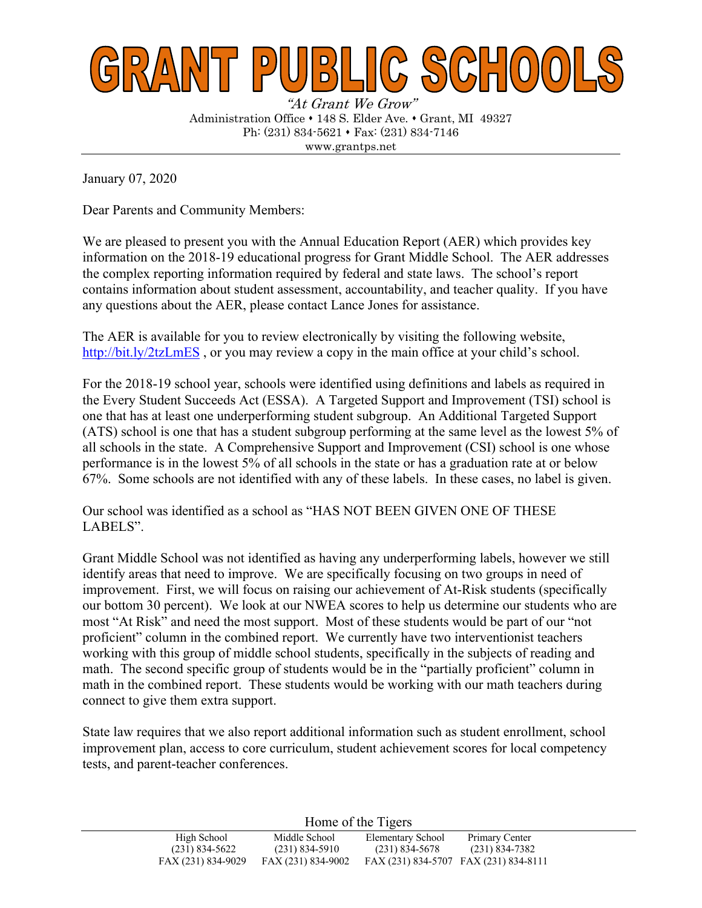

"At Grant We Grow" Administration Office • 148 S. Elder Ave. • Grant, MI 49327 Ph:  $(231) 834-5621 \cdot \text{Fax}$ :  $(231) 834-7146$ www.grantps.net

January 07, 2020

Dear Parents and Community Members:

We are pleased to present you with the Annual Education Report (AER) which provides key information on the 2018-19 educational progress for Grant Middle School. The AER addresses the complex reporting information required by federal and state laws. The school's report contains information about student assessment, accountability, and teacher quality. If you have any questions about the AER, please contact Lance Jones for assistance.

The AER is available for you to review electronically by visiting the following website, http://bit.ly/2tzLmES, or you may review a copy in the main office at your child's school.

For the 2018-19 school year, schools were identified using definitions and labels as required in the Every Student Succeeds Act (ESSA). A Targeted Support and Improvement (TSI) school is one that has at least one underperforming student subgroup. An Additional Targeted Support (ATS) school is one that has a student subgroup performing at the same level as the lowest 5% of all schools in the state. A Comprehensive Support and Improvement (CSI) school is one whose performance is in the lowest 5% of all schools in the state or has a graduation rate at or below 67%. Some schools are not identified with any of these labels. In these cases, no label is given.

Our school was identified as a school as "HAS NOT BEEN GIVEN ONE OF THESE LABELS".

Grant Middle School was not identified as having any underperforming labels, however we still identify areas that need to improve. We are specifically focusing on two groups in need of improvement. First, we will focus on raising our achievement of At-Risk students (specifically our bottom 30 percent). We look at our NWEA scores to help us determine our students who are most "At Risk" and need the most support. Most of these students would be part of our "not proficient" column in the combined report. We currently have two interventionist teachers working with this group of middle school students, specifically in the subjects of reading and math. The second specific group of students would be in the "partially proficient" column in math in the combined report. These students would be working with our math teachers during connect to give them extra support.

State law requires that we also report additional information such as student enrollment, school improvement plan, access to core curriculum, student achievement scores for local competency tests, and parent-teacher conferences.

Home of the Tigers

| $1101112$ of the $115215$ |                    |                                       |                    |
|---------------------------|--------------------|---------------------------------------|--------------------|
| High School               | Middle School      | Elementary School                     | Primary Center     |
| $(231) 834 - 5622$        | $(231)$ 834-5910   | $(231)$ 834-5678                      | $(231) 834 - 7382$ |
| FAX (231) 834-9029        | FAX (231) 834-9002 | FAX (231) 834-5707 FAX (231) 834-8111 |                    |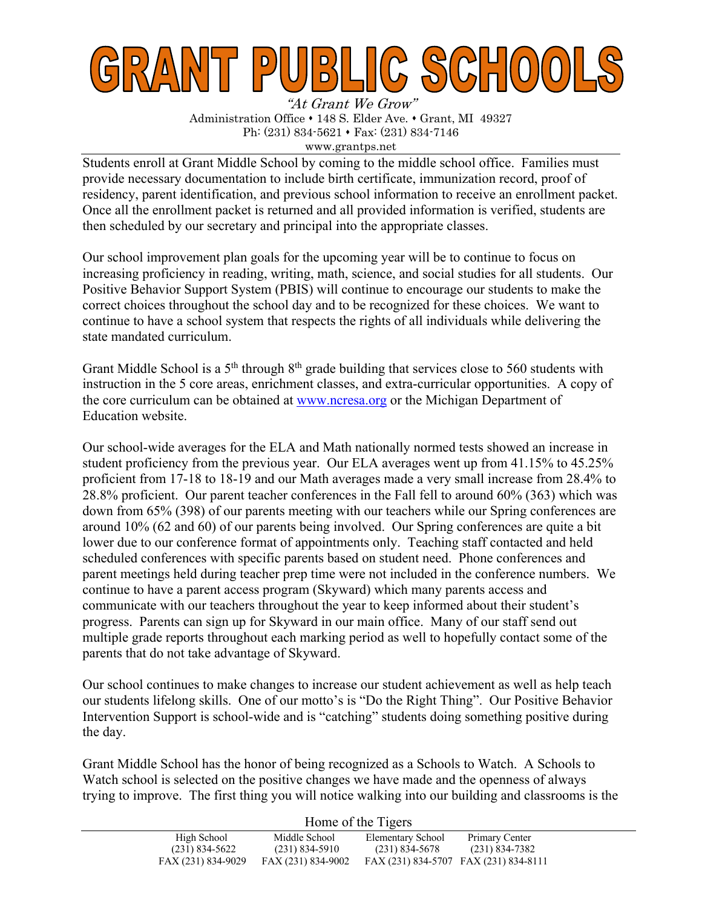

"At Grant We Grow" Administration Office • 148 S. Elder Ave. • Grant, MI 49327 Ph:  $(231)$  834-5621 • Fax:  $(231)$  834-7146 www.grantps.net

Students enroll at Grant Middle School by coming to the middle school office. Families must provide necessary documentation to include birth certificate, immunization record, proof of residency, parent identification, and previous school information to receive an enrollment packet. Once all the enrollment packet is returned and all provided information is verified, students are then scheduled by our secretary and principal into the appropriate classes.

Our school improvement plan goals for the upcoming year will be to continue to focus on increasing proficiency in reading, writing, math, science, and social studies for all students. Our Positive Behavior Support System (PBIS) will continue to encourage our students to make the correct choices throughout the school day and to be recognized for these choices. We want to continue to have a school system that respects the rights of all individuals while delivering the state mandated curriculum.

Grant Middle School is a 5<sup>th</sup> through 8<sup>th</sup> grade building that services close to 560 students with instruction in the 5 core areas, enrichment classes, and extra-curricular opportunities. A copy of the core curriculum can be obtained at www.ncresa.org or the Michigan Department of Education website.

Our school-wide averages for the ELA and Math nationally normed tests showed an increase in student proficiency from the previous year. Our ELA averages went up from 41.15% to 45.25% proficient from 17-18 to 18-19 and our Math averages made a very small increase from 28.4% to 28.8% proficient. Our parent teacher conferences in the Fall fell to around 60% (363) which was down from 65% (398) of our parents meeting with our teachers while our Spring conferences are around 10% (62 and 60) of our parents being involved. Our Spring conferences are quite a bit lower due to our conference format of appointments only. Teaching staff contacted and held scheduled conferences with specific parents based on student need. Phone conferences and parent meetings held during teacher prep time were not included in the conference numbers. We continue to have a parent access program (Skyward) which many parents access and communicate with our teachers throughout the year to keep informed about their student's progress. Parents can sign up for Skyward in our main office. Many of our staff send out multiple grade reports throughout each marking period as well to hopefully contact some of the parents that do not take advantage of Skyward.

Our school continues to make changes to increase our student achievement as well as help teach our students lifelong skills. One of our motto's is "Do the Right Thing". Our Positive Behavior Intervention Support is school-wide and is "catching" students doing something positive during the day.

Grant Middle School has the honor of being recognized as a Schools to Watch. A Schools to Watch school is selected on the positive changes we have made and the openness of always trying to improve. The first thing you will notice walking into our building and classrooms is the

|                    | Home of the Tigers |                                       |                |  |  |
|--------------------|--------------------|---------------------------------------|----------------|--|--|
| High School        | Middle School      | Elementary School                     | Primary Center |  |  |
| $(231)$ 834-5622   | $(231)$ 834-5910   | (231) 834-5678                        | (231) 834-7382 |  |  |
| FAX (231) 834-9029 | FAX (231) 834-9002 | FAX (231) 834-5707 FAX (231) 834-8111 |                |  |  |